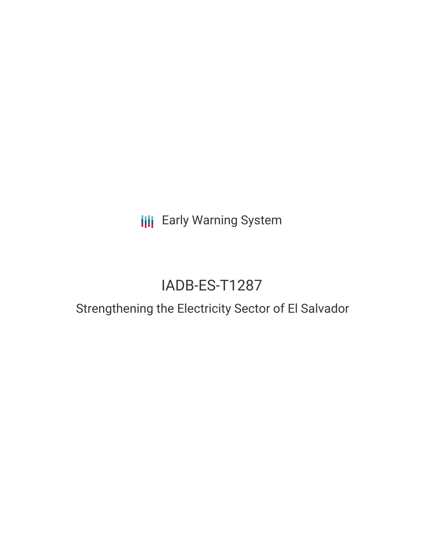**III** Early Warning System

# IADB-ES-T1287

## Strengthening the Electricity Sector of El Salvador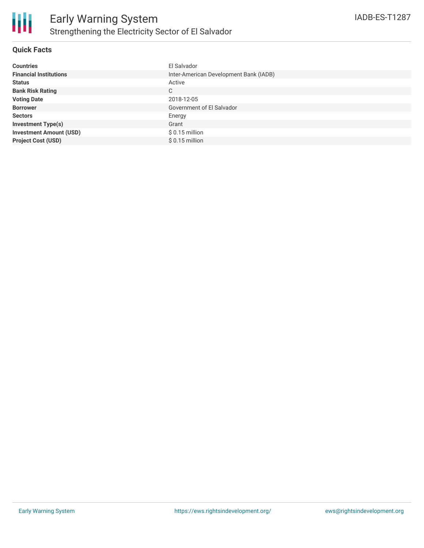

### **Quick Facts**

| <b>Countries</b>               | El Salvador                            |
|--------------------------------|----------------------------------------|
| <b>Financial Institutions</b>  | Inter-American Development Bank (IADB) |
| <b>Status</b>                  | Active                                 |
| <b>Bank Risk Rating</b>        | C                                      |
| <b>Voting Date</b>             | 2018-12-05                             |
| <b>Borrower</b>                | Government of El Salvador              |
| <b>Sectors</b>                 | Energy                                 |
| <b>Investment Type(s)</b>      | Grant                                  |
| <b>Investment Amount (USD)</b> | $$0.15$ million                        |
| <b>Project Cost (USD)</b>      | $$0.15$ million                        |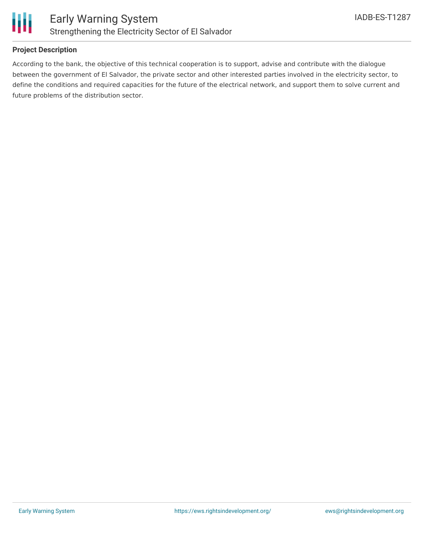

### **Project Description**

According to the bank, the objective of this technical cooperation is to support, advise and contribute with the dialogue between the government of El Salvador, the private sector and other interested parties involved in the electricity sector, to define the conditions and required capacities for the future of the electrical network, and support them to solve current and future problems of the distribution sector.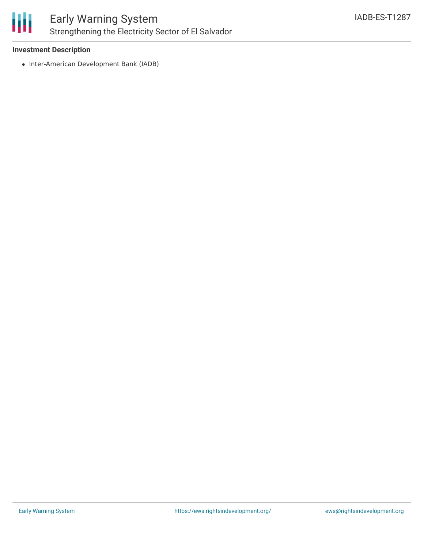

### Early Warning System Strengthening the Electricity Sector of El Salvador

### **Investment Description**

• Inter-American Development Bank (IADB)